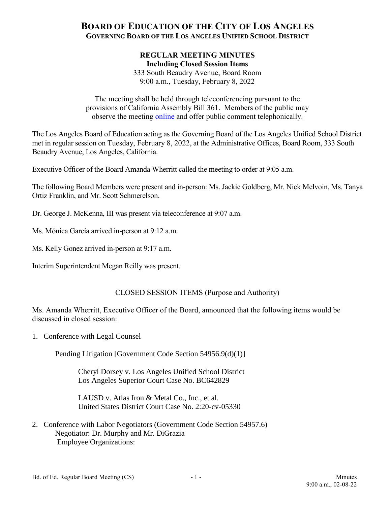# **BOARD OF EDUCATION OF THE CITY OF LOS ANGELES GOVERNING BOARD OF THE LOS ANGELES UNIFIED SCHOOL DISTRICT**

#### **REGULAR MEETING MINUTES Including Closed Session Items**

333 South Beaudry Avenue, Board Room 9:00 a.m., Tuesday, February 8, 2022

The meeting shall be held through teleconferencing pursuant to the provisions of California Assembly Bill 361. Members of the public may observe the meeting [online](http://lausd.granicus.com/player/camera/4?publish_id=18&redirect=true) and offer public comment telephonically.

The Los Angeles Board of Education acting as the Governing Board of the Los Angeles Unified School District met in regular session on Tuesday, February 8, 2022, at the Administrative Offices, Board Room, 333 South Beaudry Avenue, Los Angeles, California.

Executive Officer of the Board Amanda Wherritt called the meeting to order at 9:05 a.m.

The following Board Members were present and in-person: Ms. Jackie Goldberg, Mr. Nick Melvoin, Ms. Tanya Ortiz Franklin, and Mr. Scott Schmerelson.

Dr. George J. McKenna, III was present via teleconference at 9:07 a.m.

Ms. Mónica García arrived in-person at 9:12 a.m.

Ms. Kelly Gonez arrived in-person at 9:17 a.m.

Interim Superintendent Megan Reilly was present.

## CLOSED SESSION ITEMS (Purpose and Authority)

Ms. Amanda Wherritt, Executive Officer of the Board, announced that the following items would be discussed in closed session:

1. Conference with Legal Counsel

Pending Litigation [Government Code Section 54956.9(d)(1)]

Cheryl Dorsey v. Los Angeles Unified School District Los Angeles Superior Court Case No. BC642829

LAUSD v. Atlas Iron & Metal Co., Inc., et al. United States District Court Case No. 2:20-cv-05330

2. Conference with Labor Negotiators (Government Code Section 54957.6) Negotiator: Dr. Murphy and Mr. DiGrazia Employee Organizations: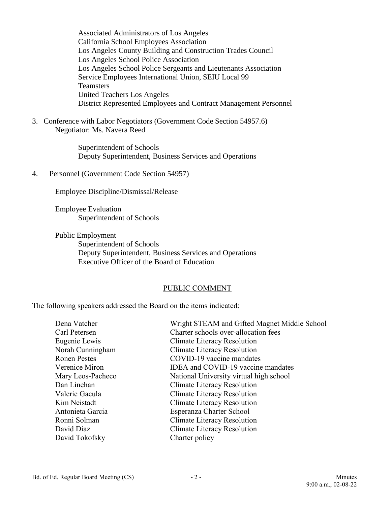Associated Administrators of Los Angeles California School Employees Association Los Angeles County Building and Construction Trades Council Los Angeles School Police Association Los Angeles School Police Sergeants and Lieutenants Association Service Employees International Union, SEIU Local 99 **Teamsters** United Teachers Los Angeles District Represented Employees and Contract Management Personnel

3. Conference with Labor Negotiators (Government Code Section 54957.6) Negotiator: Ms. Navera Reed

> Superintendent of Schools Deputy Superintendent, Business Services and Operations

4. Personnel (Government Code Section 54957)

Employee Discipline/Dismissal/Release

Employee Evaluation Superintendent of Schools

Public Employment Superintendent of Schools Deputy Superintendent, Business Services and Operations Executive Officer of the Board of Education

#### PUBLIC COMMENT

The following speakers addressed the Board on the items indicated:

| Dena Vatcher        | Wright STEAM and Gifted Magnet Middle School |
|---------------------|----------------------------------------------|
| Carl Petersen       | Charter schools over-allocation fees         |
| Eugenie Lewis       | Climate Literacy Resolution                  |
| Norah Cunningham    | Climate Literacy Resolution                  |
| <b>Ronen Pestes</b> | COVID-19 vaccine mandates                    |
| Verenice Miron      | IDEA and COVID-19 vaccine mandates           |
| Mary Leos-Pacheco   | National University virtual high school      |
| Dan Linehan         | Climate Literacy Resolution                  |
| Valerie Gacula      | Climate Literacy Resolution                  |
| Kim Neistadt        | Climate Literacy Resolution                  |
| Antonieta Garcia    | Esperanza Charter School                     |
| Ronni Solman        | Climate Literacy Resolution                  |
| David Diaz          | Climate Literacy Resolution                  |
| David Tokofsky      | Charter policy                               |
|                     |                                              |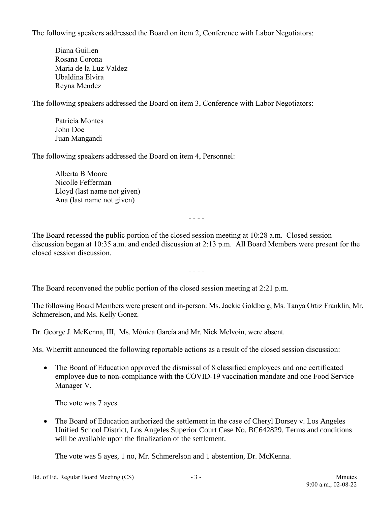The following speakers addressed the Board on item 2, Conference with Labor Negotiators:

Diana Guillen Rosana Corona Maria de la Luz Valdez Ubaldina Elvira Reyna Mendez

The following speakers addressed the Board on item 3, Conference with Labor Negotiators:

Patricia Montes John Doe Juan Mangandi

The following speakers addressed the Board on item 4, Personnel:

Alberta B Moore Nicolle Fefferman Lloyd (last name not given) Ana (last name not given)

- - - -

The Board recessed the public portion of the closed session meeting at 10:28 a.m. Closed session discussion began at 10:35 a.m. and ended discussion at 2:13 p.m. All Board Members were present for the closed session discussion.

- - - -

The Board reconvened the public portion of the closed session meeting at 2:21 p.m.

The following Board Members were present and in-person: Ms. Jackie Goldberg, Ms. Tanya Ortiz Franklin, Mr. Schmerelson, and Ms. Kelly Gonez.

Dr. George J. McKenna, III, Ms. Mónica García and Mr. Nick Melvoin, were absent.

Ms. Wherritt announced the following reportable actions as a result of the closed session discussion:

• The Board of Education approved the dismissal of 8 classified employees and one certificated employee due to non-compliance with the COVID-19 vaccination mandate and one Food Service Manager V.

The vote was 7 ayes.

• The Board of Education authorized the settlement in the case of Cheryl Dorsey v. Los Angeles Unified School District, Los Angeles Superior Court Case No. BC642829. Terms and conditions will be available upon the finalization of the settlement.

The vote was 5 ayes, 1 no, Mr. Schmerelson and 1 abstention, Dr. McKenna.